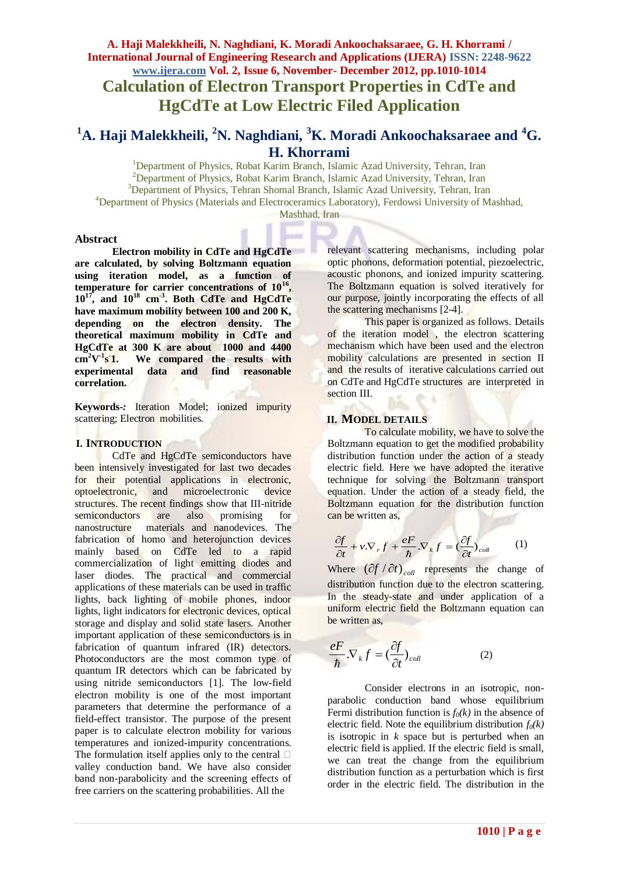# **A. Haji Malekkheili, N. Naghdiani, K. Moradi Ankoochaksaraee, G. H. Khorrami / International Journal of Engineering Research and Applications (IJERA) ISSN: 2248-9622 www.ijera.com Vol. 2, Issue 6, November- December 2012, pp.1010-1014 Calculation of Electron Transport Properties in CdTe and HgCdTe at Low Electric Filed Application**

# **<sup>1</sup>A. Haji Malekkheili, <sup>2</sup>N. Naghdiani, <sup>3</sup>K. Moradi Ankoochaksaraee and <sup>4</sup>G. H. Khorrami**

<sup>1</sup>Department of Physics, Robat Karim Branch, Islamic Azad University, Tehran, Iran <sup>2</sup>Department of Physics, Robat Karim Branch, Islamic Azad University, Tehran, Iran <sup>3</sup>Department of Physics, Tehran Shomal Branch, Islamic Azad University, Tehran, Iran <sup>4</sup>Department of Physics (Materials and Electroceramics Laboratory), Ferdowsi University of Mashhad, Mashhad, Iran

#### **Abstract**

**Electron mobility in CdTe and HgCdTe are calculated, by solving Boltzmann equation using iteration model, as a function of temperature for carrier concentrations of 10<sup>16</sup> , 10<sup>17</sup>, and 10<sup>18</sup> cm-3 . Both CdTe and HgCdTe have maximum mobility between 100 and 200 K, depending on the electron density. The theoretical maximum mobility in CdTe and HgCdTe at 300 K are about 1000 and 4400**   $cm^2$ **V**<sup>-1</sup>**s 1. We compared the results with experimental data and find reasonable correlation.**

**Keywords***-:* Iteration Model; ionized impurity scattering; Electron mobilities*.*

#### **I. INTRODUCTION**

CdTe and HgCdTe semiconductors have been intensively investigated for last two decades for their potential applications in electronic, optoelectronic, and microelectronic device structures. The recent findings show that III-nitride semiconductors are also promising for nanostructure materials and nanodevices. The fabrication of homo and heterojunction devices mainly based on CdTe led to a rapid commercialization of light emitting diodes and laser diodes. The practical and commercial applications of these materials can be used in traffic lights, back lighting of mobile phones, indoor lights, light indicators for electronic devices, optical storage and display and solid state lasers. Another important application of these semiconductors is in fabrication of quantum infrared (IR) detectors. Photoconductors are the most common type of quantum IR detectors which can be fabricated by using nitride semiconductors [1]. The low-field electron mobility is one of the most important parameters that determine the performance of a field-effect transistor. The purpose of the present paper is to calculate electron mobility for various temperatures and ionized-impurity concentrations. The formulation itself applies only to the central  $\Box$ valley conduction band. We have also consider band non-parabolicity and the screening effects of free carriers on the scattering probabilities. All the

relevant scattering mechanisms, including polar optic phonons, deformation potential, piezoelectric, acoustic phonons, and ionized impurity scattering. The Boltzmann equation is solved iteratively for our purpose, jointly incorporating the effects of all the scattering mechanisms [2-4].

This paper is organized as follows. Details of the iteration model , the electron scattering mechanism which have been used and the electron mobility calculations are presented in section II and the results of iterative calculations carried out on CdTe and HgCdTe structures are interpreted in section III.

# **II. MODEL DETAILS**

To calculate mobility, we have to solve the Boltzmann equation to get the modified probability distribution function under the action of a steady electric field. Here we have adopted the iterative technique for solving the Boltzmann transport equation. Under the action of a steady field, the Boltzmann equation for the distribution function can be written as,

$$
\frac{\partial f}{\partial t} + v \cdot \nabla_r f + \frac{eF}{\hbar} \cdot \nabla_k f = \left(\frac{\partial f}{\partial t}\right)_{coll} \tag{1}
$$

Where  $\left(\frac{\partial f}{\partial t}\right)_{coll}$  represents the change of distribution function due to the electron scattering. In the steady-state and under application of a uniform electric field the Boltzmann equation can be written as,

$$
\frac{eF}{\hbar}.\nabla_{k}f = \left(\frac{\partial f}{\partial t}\right)_{coll} \tag{2}
$$

Consider electrons in an isotropic, nonparabolic conduction band whose equilibrium Fermi distribution function is  $f_0(k)$  in the absence of electric field. Note the equilibrium distribution  $f_0(k)$ is isotropic in  $k$  space but is perturbed when an electric field is applied. If the electric field is small, we can treat the change from the equilibrium distribution function as a perturbation which is first order in the electric field. The distribution in the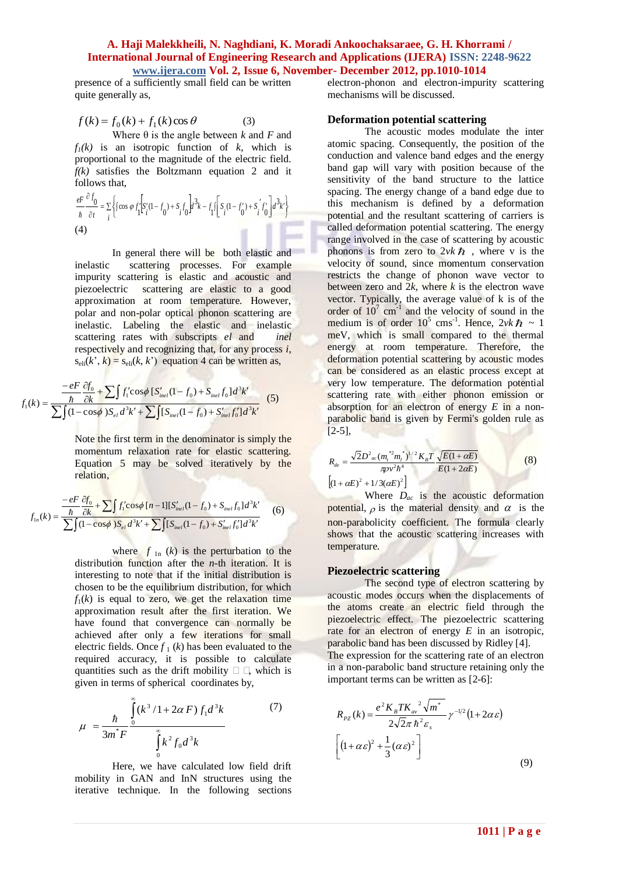à.

presence of a sufficiently small field can be written quite generally as,

$$
f(k) = f_0(k) + f_1(k)\cos\theta \tag{3}
$$

Where  $\theta$  is the angle between *k* and *F* and  $f_1(k)$  is an isotropic function of  $k$ , which is proportional to the magnitude of the electric field*. f(k)* satisfies the Boltzmann equation 2 and it follows that,

$$
\frac{eF}{\hbar} \frac{\partial f_0}{\partial t} = \sum_{i} \left\{ \int \cos \varphi f_1 \left[ S_i'(1 - f_0) + S_i f_0 \right] d^3k - f_1 \int \left[ S_i(1 - f_0') + S_i' f_0' \right] d^3k' \right\}
$$
\n(4)

In general there will be both elastic and inelastic scattering processes. For example impurity scattering is elastic and acoustic and piezoelectric scattering are elastic to a good approximation at room temperature. However, polar and non-polar optical phonon scattering are inelastic. Labeling the elastic and inelastic scattering rates with subscripts *el* and *inel* respectively and recognizing that, for any process *i*,  $s_{\text{eli}}(k^{\prime}, k) = s_{\text{eli}}(k, k^{\prime})$  equation 4 can be written as,

$$
f_1(k) = \frac{-eF}{\sum f_1(k)} \frac{\partial f_0}{\partial k} + \sum \int f_1' \cos \phi \left[ S'_{\text{inel}}(1 - f_0) + S_{\text{inel}} f_0 \right] d^3 k'}{\sum \int (1 - \cos \phi) S_{\text{el}} d^3 k' + \sum \int [S_{\text{inel}}(1 - f_0) + S'_{\text{inel}} f'_0] d^3 k'}
$$
 (5)

Note the first term in the denominator is simply the momentum relaxation rate for elastic scattering. Equation 5 may be solved iteratively by the relation,

$$
f_{1n}(k) = \frac{-eF}{\frac{\hbar}{\Delta k} + \sum f_1' \cos\phi [n-1][S'_{inel}(1 - f_0) + S_{inel}f_0]d^3k'}{\sum f_1(-\cos\phi)S_{el}d^3k' + \sum f_2[S_{inel}(1 - f_0) + S'_{inel}f_0']d^3k'}
$$
(6)

where  $f_{1n}$  (*k*) is the perturbation to the distribution function after the *n*-th iteration. It is interesting to note that if the initial distribution is chosen to be the equilibrium distribution, for which  $f_1(k)$  is equal to zero, we get the relaxation time approximation result after the first iteration. We have found that convergence can normally be achieved after only a few iterations for small electric fields. Once  $f_1(k)$  has been evaluated to the required accuracy, it is possible to calculate quantities such as the drift mobility  $\Box$   $\Box$ , which is given in terms of spherical coordinates by,

$$
\mu = \frac{\hbar}{3m^*F} \int_{0}^{\infty} \frac{(k^3/1 + 2\alpha F) f_1 d^3k}{\int_{0}^{\infty} k^2 f_0 d^3k}
$$
 (7)

Here, we have calculated low field drift mobility in GAN and InN structures using the iterative technique. In the following sections

electron-phonon and electron-impurity scattering mechanisms will be discussed.

#### **Deformation potential scattering**

The acoustic modes modulate the inter atomic spacing. Consequently, the position of the conduction and valence band edges and the energy band gap will vary with position because of the sensitivity of the band structure to the lattice spacing. The energy change of a band edge due to this mechanism is defined by a deformation potential and the resultant scattering of carriers is called deformation potential scattering. The energy range involved in the case of scattering by acoustic phonons is from zero to  $2vk\hbar$ , where v is the velocity of sound, since momentum conservation restricts the change of phonon wave vector to between zero and  $2k$ , where  $k$  is the electron wave vector. Typically, the average value of k is of the order of  $10^7$  cm<sup>-1</sup> and the velocity of sound in the medium is of order  $10^5$  cms<sup>-1</sup>. Hence,  $2vk\hbar \sim 1$ meV, which is small compared to the thermal energy at room temperature. Therefore, the deformation potential scattering by acoustic modes can be considered as an elastic process except at very low temperature. The deformation potential scattering rate with either phonon emission or absorption for an electron of energy *E* in a nonparabolic band is given by Fermi's golden rule as  $[2-5]$ ,

$$
R_{de} = \frac{\sqrt{2}D^2{}_{ac}(m_t^{*2}m_l^{*})^{1/2}K_B T}{\pi \nu^2 h^4} \frac{\sqrt{E(1+\alpha E)}}{E(1+2\alpha E)}
$$
(8)  

$$
[(1+\alpha E)^2 + 1/3(\alpha E)^2]
$$

Where  $D_{ac}$  is the acoustic deformation potential,  $\rho$  is the material density and  $\alpha$  is the non-parabolicity coefficient. The formula clearly shows that the acoustic scattering increases with temperature.

#### **Piezoelectric scattering**

The second type of electron scattering by acoustic modes occurs when the displacements of the atoms create an electric field through the piezoelectric effect. The piezoelectric scattering rate for an electron of energy *E* in an isotropic, parabolic band has been discussed by Ridley [4]. The expression for the scattering rate of an electron in a non-parabolic band structure retaining only the important terms can be written as [2-6]:

$$
R_{pz}(k) = \frac{e^2 K_B T K_{av}^2 \sqrt{m^*}}{2\sqrt{2}\pi \hbar^2 \varepsilon_s} \gamma^{-1/2} (1 + 2\alpha \varepsilon)
$$

$$
\left[ (1 + \alpha \varepsilon)^2 + \frac{1}{3} (\alpha \varepsilon)^2 \right]
$$
(9)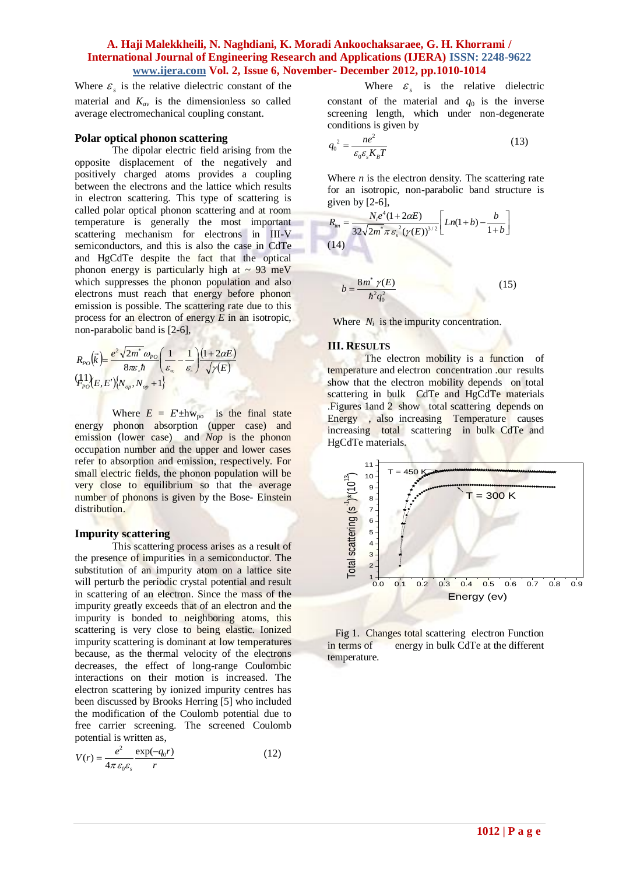Where  $\mathcal{E}_s$  is the relative dielectric constant of the material and  $K_{av}$  is the dimensionless so called average electromechanical coupling constant.

#### **Polar optical phonon scattering**

The dipolar electric field arising from the opposite displacement of the negatively and positively charged atoms provides a coupling between the electrons and the lattice which results in electron scattering. This type of scattering is called polar optical phonon scattering and at room temperature is generally the most important scattering mechanism for electrons in III-V semiconductors, and this is also the case in CdTe and HgCdTe despite the fact that the optical phonon energy is particularly high at  $\sim 93$  meV which suppresses the phonon population and also electrons must reach that energy before phonon emission is possible. The scattering rate due to this process for an electron of energy *E* in an isotropic, non-parabolic band is [2-6],

$$
R_{p_O}(\vec{k}) = \frac{e^2 \sqrt{2m^*} \omega_{p_O}}{8\pi \varepsilon \hbar} \left(\frac{1}{\varepsilon_{\infty}} - \frac{1}{\varepsilon_{\infty}}\right) \frac{(1 + 2\alpha E)}{\sqrt{\gamma(E)}}
$$
  

$$
\left(\frac{1}{2}\right)_{P_O} (E, E') \left\{N_{op}, N_{op} + 1\right\}
$$

Where  $E = E \pm hw_{po}$  is the final state energy phonon absorption (upper case) and emission (lower case) and *Nop* is the phonon occupation number and the upper and lower cases refer to absorption and emission, respectively. For small electric fields, the phonon population will be very close to equilibrium so that the average number of phonons is given by the Bose- Einstein distribution.

#### **Impurity scattering**

This scattering process arises as a result of the presence of impurities in a semiconductor. The substitution of an impurity atom on a lattice site will perturb the periodic crystal potential and result in scattering of an electron. Since the mass of the impurity greatly exceeds that of an electron and the impurity is bonded to neighboring atoms, this scattering is very close to being elastic. Ionized impurity scattering is dominant at low temperatures because, as the thermal velocity of the electrons decreases, the effect of long-range Coulombic interactions on their motion is increased. The electron scattering by ionized impurity centres has been discussed by Brooks Herring [5] who included the modification of the Coulomb potential due to free carrier screening. The screened Coulomb potential is written as,

$$
V(r) = \frac{e^2}{4\pi \varepsilon_0 \varepsilon_s} \frac{\exp(-q_0 r)}{r}
$$
 (12)

Where  $\varepsilon$ <sub>s</sub> is the relative dielectric constant of the material and  $q_0$  is the inverse screening length, which under non-degenerate conditions is given by

$$
q_0^2 = \frac{ne^2}{\varepsilon_0 \varepsilon_s K_B T}
$$
 (13)

Where  $n$  is the electron density. The scattering rate for an isotropic, non-parabolic band structure is given by  $[2-6]$ ,

(15)

$$
R_{im} = \frac{N_i e^4 (1 + 2\alpha E)}{32\sqrt{2m^* \pi \varepsilon_s^2} (\gamma(E))^{3/2}} \left[ Ln(1+b) - \frac{b}{1+b} \right]
$$
  
(14)  

$$
b = \frac{8m^* \gamma(E)}{\hbar^2 q_0^2}
$$
 (15)

Where  $N_i$  is the impurity concentration.

#### **III. RESULTS**

 $^{2}q_{0}^{2}$ 

 $=\frac{8m\gamma}{\gamma}$ 

*q*

The electron mobility is a function of temperature and electron concentration .our results show that the electron mobility depends on total scattering in bulk CdTe and HgCdTe materials .Figures 1and 2 show total scattering depends on Energy , also increasing Temperature causes increasing total scattering in bulk CdTe and HgCdTe materials.



 Fig 1. Changes total scattering electron Function in terms of energy in bulk CdTe at the different temperature.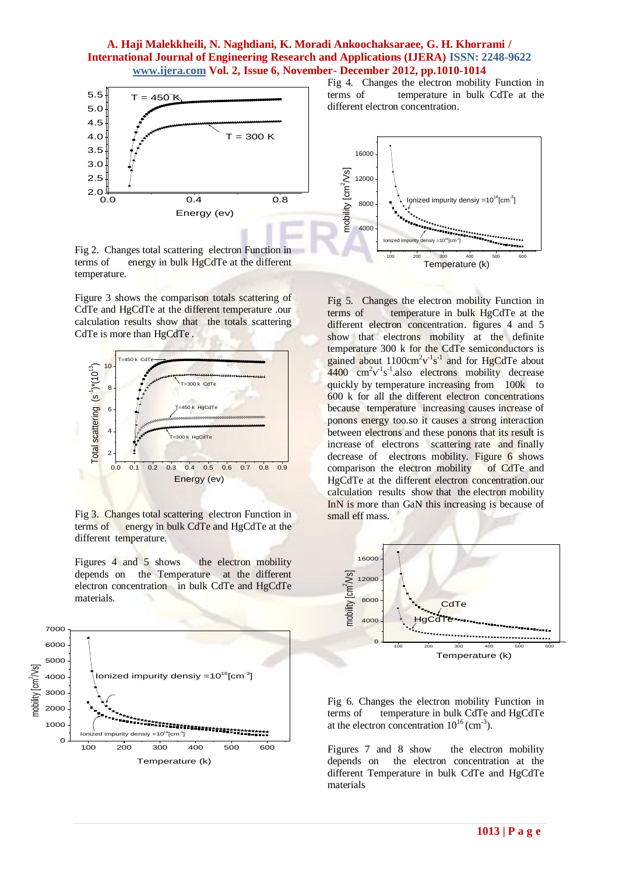

Fig 2. Changes total scattering electron Function in terms of energy in bulk HgCdTe at the different temperature.

Figure 3 shows the comparison totals scattering of CdTe and HgCdTe at the different temperature .our calculation results show that the totals scattering CdTe is more than HgCdTe .



Fig 3. Changes total scattering electron Function in terms of energy in bulk CdTe and HgCdTe at the different temperature.

Figures 4 and 5 shows the electron mobility depends on the Temperature at the different electron concentration in bulk CdTe and HgCdTe materials.



Fig 4. Changes the electron mobility Function in terms of temperature in bulk CdTe at the different electron concentration.



Fig 5. Changes the electron mobility Function in terms of temperature in bulk HgCdTe at the different electron concentration. figures 4 and 5 show that electrons mobility at the definite temperature 300 k for the CdTe semiconductors is gained about  $1100 \text{cm}^2 \text{v}^1 \text{s}^1$  and for HgCdTe about  $4400 \text{ cm}^2 \text{v}^{-1} \text{s}^{-1}$ .also electrons mobility decrease quickly by temperature increasing from 100k to 600 k for all the different electron concentrations because temperature increasing causes increase of ponons energy too.so it causes a strong interaction between electrons and these ponons that its result is increase of electrons scattering rate and finally decrease of electrons mobility. Figure 6 shows comparison the electron mobility of CdTe and HgCdTe at the different electron concentration.our calculation results show that the electron mobility InN is more than GaN this increasing is because of small eff mass.



Fig 6. Changes the electron mobility Function in terms of temperature in bulk CdTe and HgCdTe at the electron concentration  $10^{16}$  (cm<sup>-3</sup>).

Figures 7 and 8 show the electron mobility depends on the electron concentration at the different Temperature in bulk CdTe and HgCdTe materials